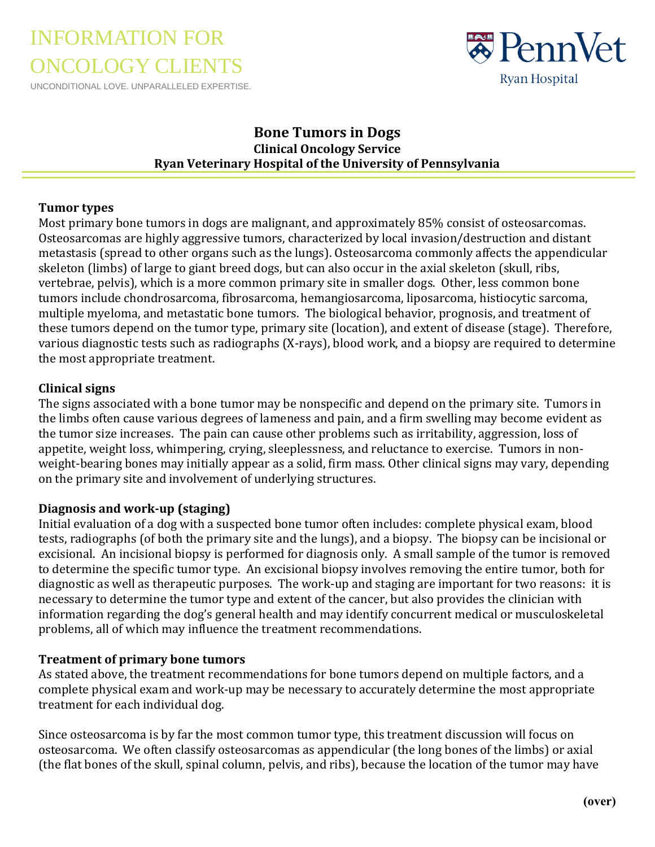# INFORMATION FOR ONCOLOGY CLIENTS

UNCONDITIONAL LOVE. UNPARALLELED EXPERTISE.



## **Bone Tumors in Dogs Clinical Oncology Service Ryan Veterinary Hospital of the University of Pennsylvania**

#### **Tumor types**

Most primary bone tumors in dogs are malignant, and approximately 85% consist of osteosarcomas. Osteosarcomas are highly aggressive tumors, characterized by local invasion/destruction and distant metastasis (spread to other organs such as the lungs). Osteosarcoma commonly affects the appendicular skeleton (limbs) of large to giant breed dogs, but can also occur in the axial skeleton (skull, ribs, vertebrae, pelvis), which is a more common primary site in smaller dogs. Other, less common bone tumors include chondrosarcoma, fibrosarcoma, hemangiosarcoma, liposarcoma, histiocytic sarcoma, multiple myeloma, and metastatic bone tumors. The biological behavior, prognosis, and treatment of these tumors depend on the tumor type, primary site (location), and extent of disease (stage). Therefore, various diagnostic tests such as radiographs (X-rays), blood work, and a biopsy are required to determine the most appropriate treatment.

#### **Clinical signs**

The signs associated with a bone tumor may be nonspecific and depend on the primary site. Tumors in the limbs often cause various degrees of lameness and pain, and a firm swelling may become evident as the tumor size increases. The pain can cause other problems such as irritability, aggression, loss of appetite, weight loss, whimpering, crying, sleeplessness, and reluctance to exercise. Tumors in nonweight-bearing bones may initially appear as a solid, firm mass. Other clinical signs may vary, depending on the primary site and involvement of underlying structures.

### **Diagnosis and work-up (staging)**

Initial evaluation of a dog with a suspected bone tumor often includes: complete physical exam, blood tests, radiographs (of both the primary site and the lungs), and a biopsy. The biopsy can be incisional or excisional. An incisional biopsy is performed for diagnosis only. A small sample of the tumor is removed to determine the specific tumor type. An excisional biopsy involves removing the entire tumor, both for diagnostic as well as therapeutic purposes. The work-up and staging are important for two reasons: it is necessary to determine the tumor type and extent of the cancer, but also provides the clinician with information regarding the dog's general health and may identify concurrent medical or musculoskeletal problems, all of which may influence the treatment recommendations.

#### **Treatment of primary bone tumors**

As stated above, the treatment recommendations for bone tumors depend on multiple factors, and a complete physical exam and work-up may be necessary to accurately determine the most appropriate treatment for each individual dog.

Since osteosarcoma is by far the most common tumor type, this treatment discussion will focus on osteosarcoma. We often classify osteosarcomas as appendicular (the long bones of the limbs) or axial (the flat bones of the skull, spinal column, pelvis, and ribs), because the location of the tumor may have